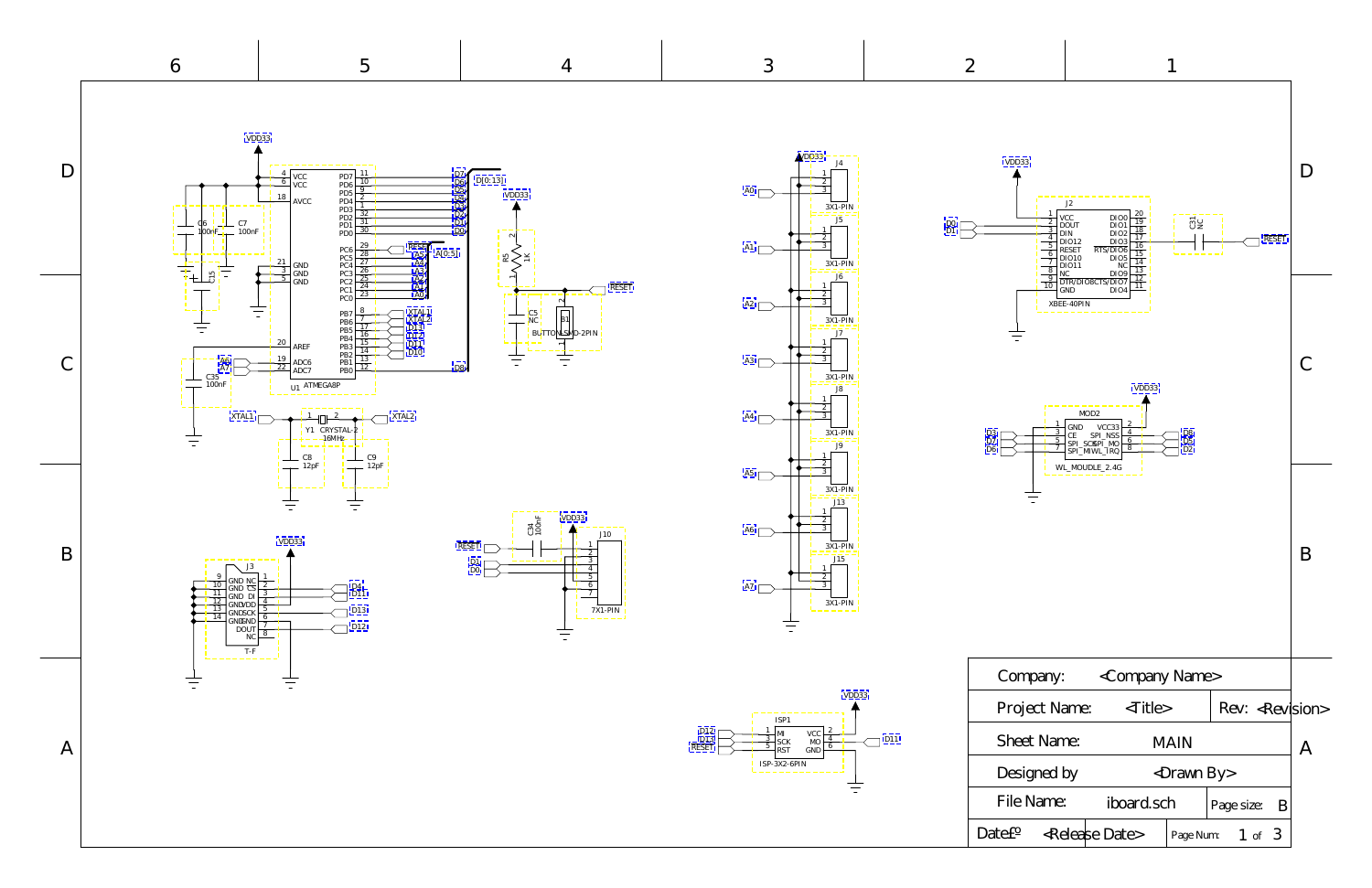<span id="page-0-0"></span>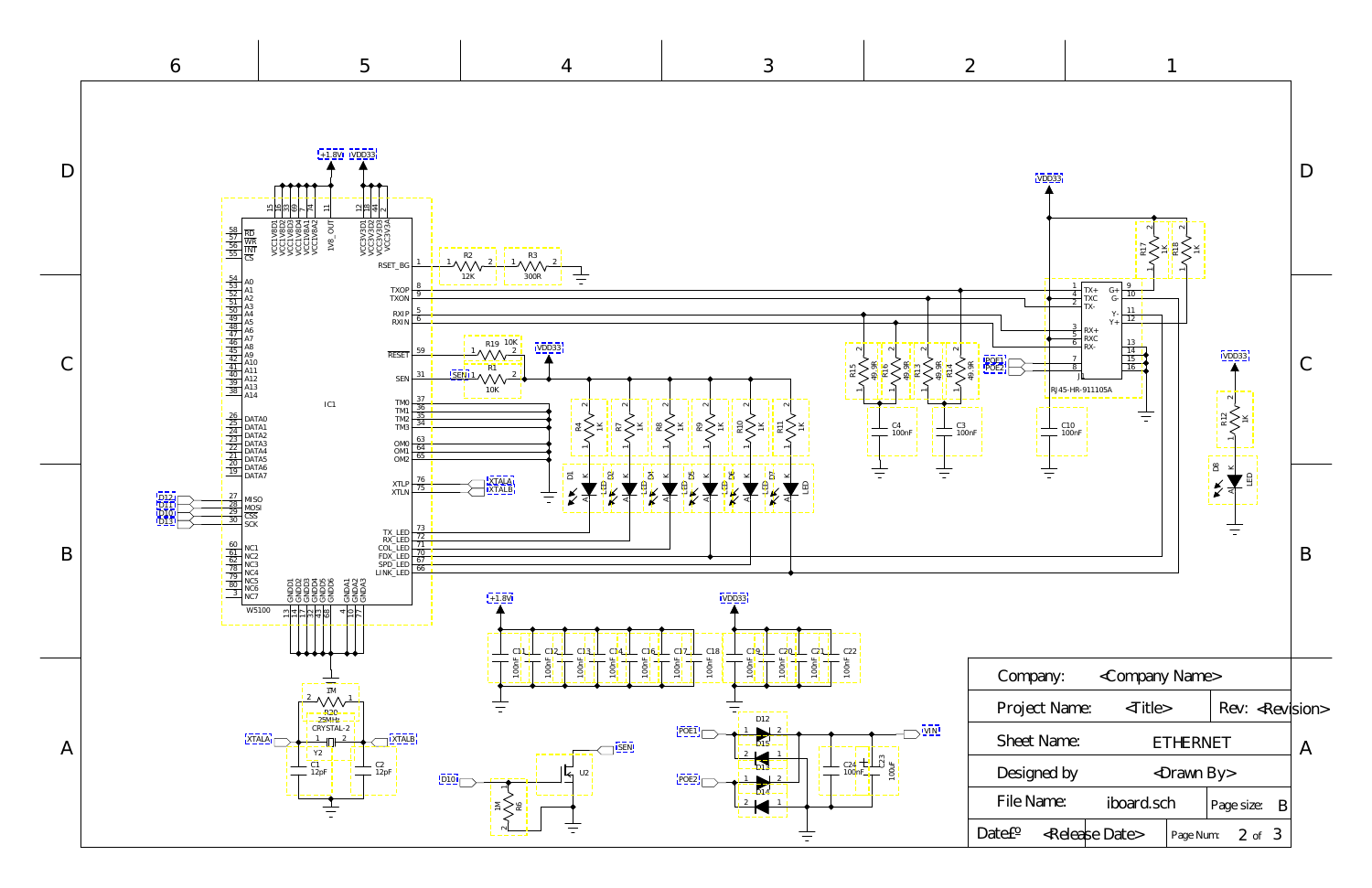<span id="page-1-0"></span>